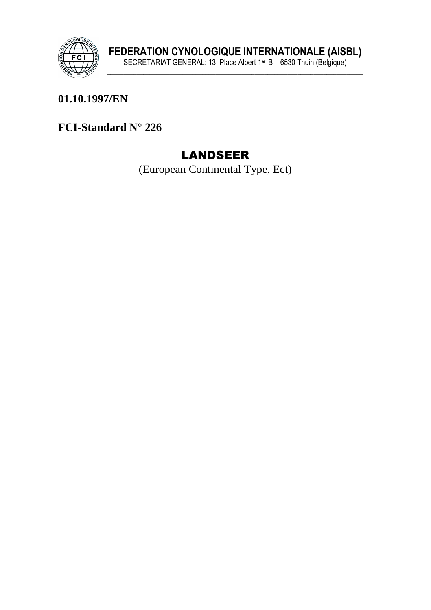

01.10.1997/EN

FCI-Standard N° 226

# **LANDSEER**

(European Continental Type, Ect)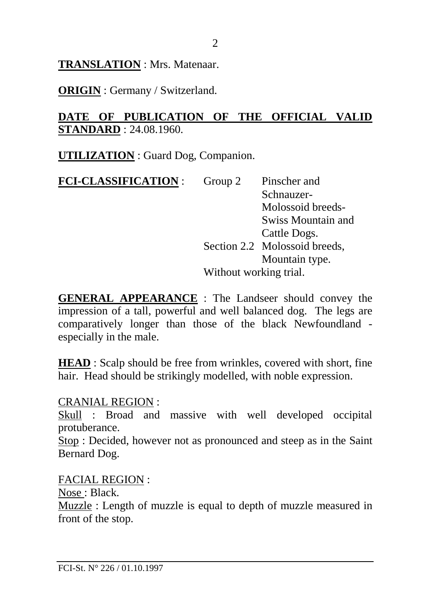**TRANSLATION** : Mrs. Matenaar.

**ORIGIN** : Germany / Switzerland.

### **DATE OF PUBLICATION OF THE OFFICIAL VALID STANDARD** : 24.08.1960.

**UTILIZATION** : Guard Dog, Companion.

| <b>FCI-CLASSIFICATION:</b> | Group 2                | Pinscher and                  |
|----------------------------|------------------------|-------------------------------|
|                            |                        | Schnauzer-                    |
|                            |                        | Molossoid breeds-             |
|                            |                        | Swiss Mountain and            |
|                            |                        | Cattle Dogs.                  |
|                            |                        | Section 2.2 Molossoid breeds, |
|                            |                        | Mountain type.                |
|                            | Without working trial. |                               |

**GENERAL APPEARANCE** : The Landseer should convey the impression of a tall, powerful and well balanced dog. The legs are comparatively longer than those of the black Newfoundland especially in the male.

**HEAD** : Scalp should be free from wrinkles, covered with short, fine hair. Head should be strikingly modelled, with noble expression.

CRANIAL REGION :

Skull : Broad and massive with well developed occipital protuberance.

Stop : Decided, however not as pronounced and steep as in the Saint Bernard Dog.

FACIAL REGION : Nose : Black. Muzzle : Length of muzzle is equal to depth of muzzle measured in front of the stop.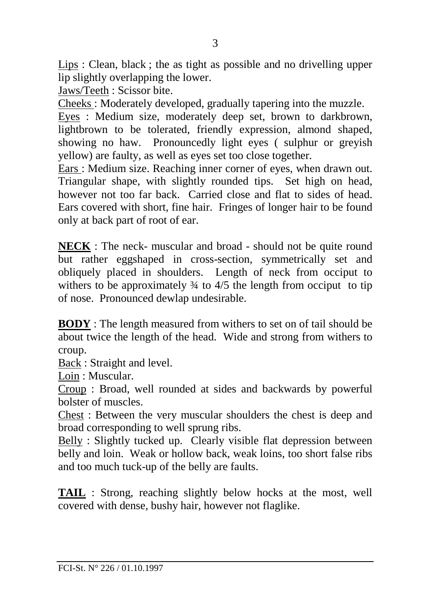Lips : Clean, black ; the as tight as possible and no drivelling upper lip slightly overlapping the lower.

Jaws/Teeth : Scissor bite.

Cheeks : Moderately developed, gradually tapering into the muzzle.

Eyes : Medium size, moderately deep set, brown to darkbrown, lightbrown to be tolerated, friendly expression, almond shaped, showing no haw. Pronouncedly light eyes ( sulphur or greyish yellow) are faulty, as well as eyes set too close together.

Ears : Medium size. Reaching inner corner of eyes, when drawn out. Triangular shape, with slightly rounded tips. Set high on head, however not too far back. Carried close and flat to sides of head. Ears covered with short, fine hair. Fringes of longer hair to be found only at back part of root of ear.

**NECK** : The neck- muscular and broad - should not be quite round but rather eggshaped in cross-section, symmetrically set and obliquely placed in shoulders. Length of neck from occiput to withers to be approximately  $\frac{3}{4}$  to  $\frac{4}{5}$  the length from occiput to tip of nose. Pronounced dewlap undesirable.

**BODY** : The length measured from withers to set on of tail should be about twice the length of the head. Wide and strong from withers to croup.

Back : Straight and level.

Loin : Muscular.

Croup : Broad, well rounded at sides and backwards by powerful bolster of muscles.

Chest : Between the very muscular shoulders the chest is deep and broad corresponding to well sprung ribs.

Belly : Slightly tucked up. Clearly visible flat depression between belly and loin. Weak or hollow back, weak loins, too short false ribs and too much tuck-up of the belly are faults.

**TAIL** : Strong, reaching slightly below hocks at the most, well covered with dense, bushy hair, however not flaglike.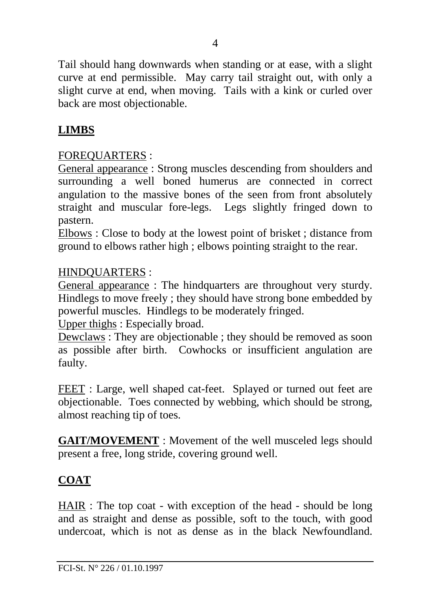Tail should hang downwards when standing or at ease, with a slight curve at end permissible. May carry tail straight out, with only a slight curve at end, when moving. Tails with a kink or curled over back are most objectionable.

## **LIMBS**

### FOREQUARTERS :

General appearance : Strong muscles descending from shoulders and surrounding a well boned humerus are connected in correct angulation to the massive bones of the seen from front absolutely straight and muscular fore-legs. Legs slightly fringed down to pastern.

Elbows : Close to body at the lowest point of brisket ; distance from ground to elbows rather high ; elbows pointing straight to the rear.

#### HINDQUARTERS :

General appearance : The hindquarters are throughout very sturdy. Hindlegs to move freely ; they should have strong bone embedded by powerful muscles. Hindlegs to be moderately fringed.

Upper thighs : Especially broad.

Dewclaws : They are objectionable ; they should be removed as soon as possible after birth. Cowhocks or insufficient angulation are faulty.

FEET : Large, well shaped cat-feet. Splayed or turned out feet are objectionable. Toes connected by webbing, which should be strong, almost reaching tip of toes.

**GAIT/MOVEMENT** : Movement of the well musceled legs should present a free, long stride, covering ground well.

## **COAT**

HAIR : The top coat - with exception of the head - should be long and as straight and dense as possible, soft to the touch, with good undercoat, which is not as dense as in the black Newfoundland.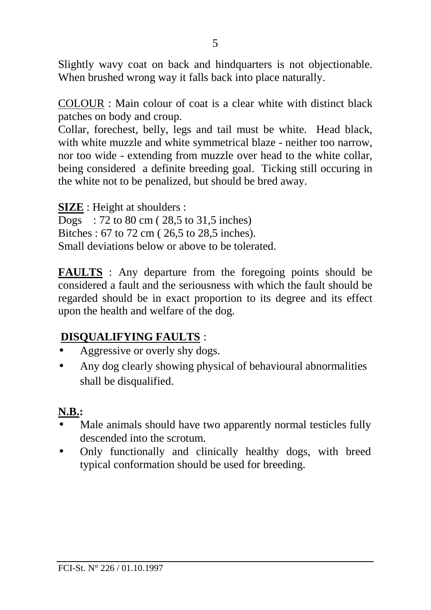Slightly wavy coat on back and hindquarters is not objectionable. When brushed wrong way it falls back into place naturally.

COLOUR : Main colour of coat is a clear white with distinct black patches on body and croup.

Collar, forechest, belly, legs and tail must be white. Head black, with white muzzle and white symmetrical blaze - neither too narrow, nor too wide - extending from muzzle over head to the white collar, being considered a definite breeding goal. Ticking still occuring in the white not to be penalized, but should be bred away.

**SIZE** : Height at shoulders : Dogs : 72 to 80 cm ( 28,5 to 31,5 inches) Bitches : 67 to 72 cm ( 26,5 to 28,5 inches). Small deviations below or above to be tolerated.

**FAULTS** : Any departure from the foregoing points should be considered a fault and the seriousness with which the fault should be regarded should be in exact proportion to its degree and its effect upon the health and welfare of the dog.

## **DISQUALIFYING FAULTS** :

- Aggressive or overly shy dogs.
- Any dog clearly showing physical of behavioural abnormalities shall be disqualified.

## **N.B.:**

- Male animals should have two apparently normal testicles fully descended into the scrotum.
- Only functionally and clinically healthy dogs, with breed typical conformation should be used for breeding.